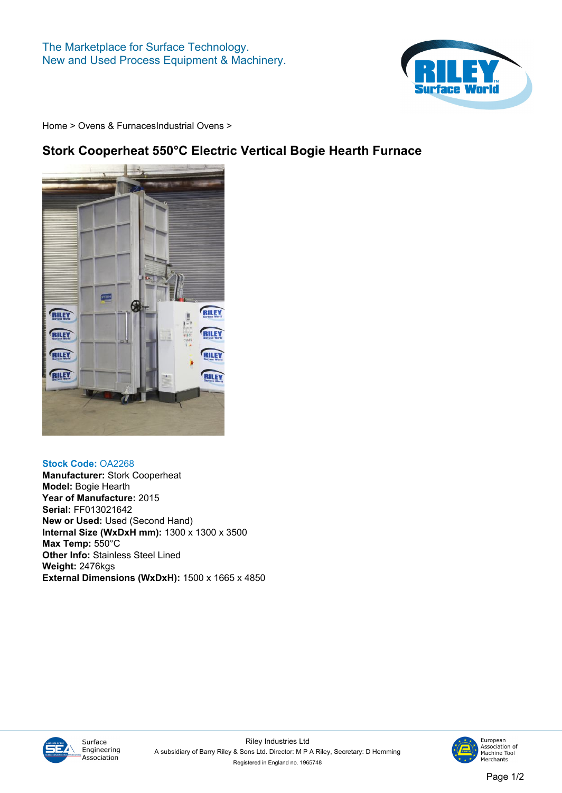

**[Home](https://www.rileysurfaceworld.co.uk) > [Ovens & Furnaces](https://www.rileysurfaceworld.co.uk/ovens.asp)[Industrial Ovens](https://www.rileysurfaceworld.co.uk/ovens-industrial.asp) >**

## **Stork Cooperheat 550°C Electric Vertical Bogie Hearth Furnace**



## **Stock Code: OA2268**

**Manufacturer: Stork Cooperheat Model: Bogie Hearth Year of Manufacture: 2015 Serial: FF013021642 New or Used: Used (Second Hand) Internal Size (WxDxH mm): 1300 x 1300 x 3500 Max Temp: 550°C Other Info: Stainless Steel Lined Weight: 2476kgs External Dimensions (WxDxH): 1500 x 1665 x 4850**